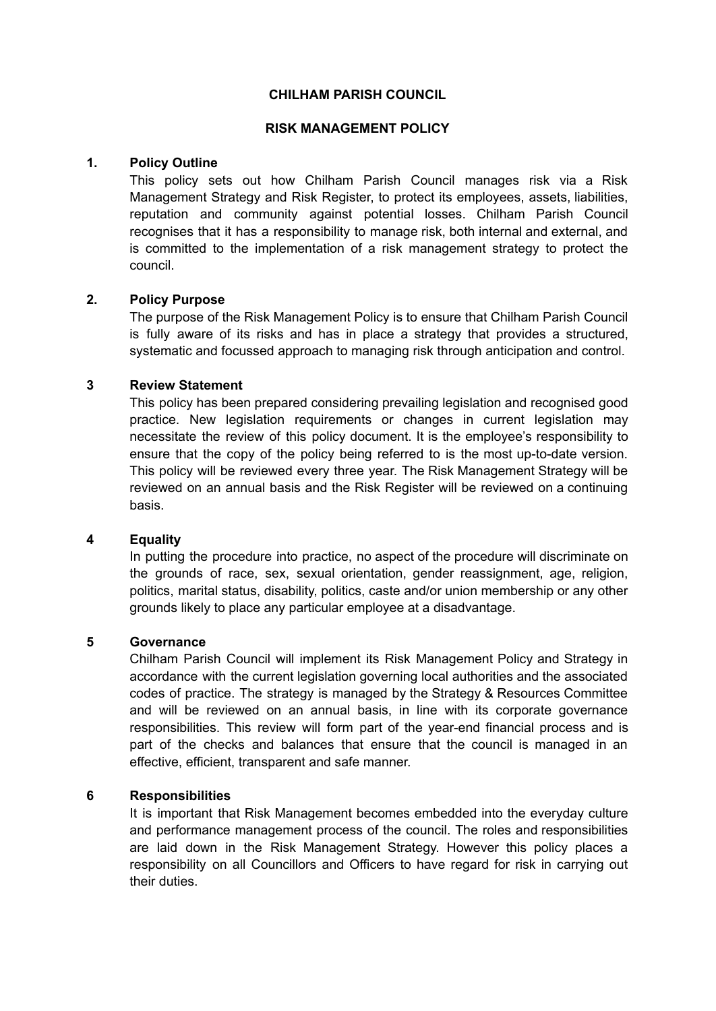#### **CHILHAM PARISH COUNCIL**

#### **RISK MANAGEMENT POLICY**

### **1. Policy Outline**

This policy sets out how Chilham Parish Council manages risk via a Risk Management Strategy and Risk Register, to protect its employees, assets, liabilities, reputation and community against potential losses. Chilham Parish Council recognises that it has a responsibility to manage risk, both internal and external, and is committed to the implementation of a risk management strategy to protect the council.

#### **2. Policy Purpose**

The purpose of the Risk Management Policy is to ensure that Chilham Parish Council is fully aware of its risks and has in place a strategy that provides a structured, systematic and focussed approach to managing risk through anticipation and control.

#### **3 Review Statement**

This policy has been prepared considering prevailing legislation and recognised good practice. New legislation requirements or changes in current legislation may necessitate the review of this policy document. It is the employee's responsibility to ensure that the copy of the policy being referred to is the most up-to-date version. This policy will be reviewed every three year. The Risk Management Strategy will be reviewed on an annual basis and the Risk Register will be reviewed on a continuing basis.

## **4 Equality**

In putting the procedure into practice, no aspect of the procedure will discriminate on the grounds of race, sex, sexual orientation, gender reassignment, age, religion, politics, marital status, disability, politics, caste and/or union membership or any other grounds likely to place any particular employee at a disadvantage.

## **5 Governance**

Chilham Parish Council will implement its Risk Management Policy and Strategy in accordance with the current legislation governing local authorities and the associated codes of practice. The strategy is managed by the Strategy & Resources Committee and will be reviewed on an annual basis, in line with its corporate governance responsibilities. This review will form part of the year-end financial process and is part of the checks and balances that ensure that the council is managed in an effective, efficient, transparent and safe manner.

## **6 Responsibilities**

It is important that Risk Management becomes embedded into the everyday culture and performance management process of the council. The roles and responsibilities are laid down in the Risk Management Strategy. However this policy places a responsibility on all Councillors and Officers to have regard for risk in carrying out their duties.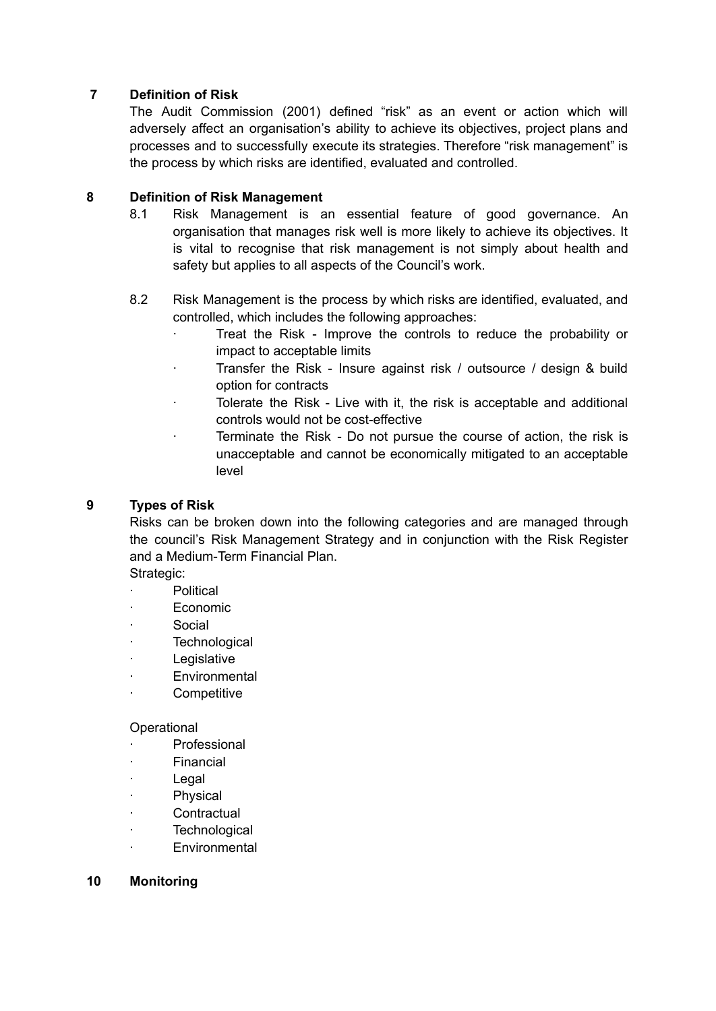# **7 Definition of Risk**

The Audit Commission (2001) defined "risk" as an event or action which will adversely affect an organisation's ability to achieve its objectives, project plans and processes and to successfully execute its strategies. Therefore "risk management" is the process by which risks are identified, evaluated and controlled.

## **8 Definition of Risk Management**

- 8.1 Risk Management is an essential feature of good governance. An organisation that manages risk well is more likely to achieve its objectives. It is vital to recognise that risk management is not simply about health and safety but applies to all aspects of the Council's work.
- 8.2 Risk Management is the process by which risks are identified, evaluated, and controlled, which includes the following approaches:
	- ∙ Treat the Risk Improve the controls to reduce the probability or impact to acceptable limits
	- ∙ Transfer the Risk Insure against risk / outsource / design & build option for contracts
	- ∙ Tolerate the Risk Live with it, the risk is acceptable and additional controls would not be cost-effective
	- ∙ Terminate the Risk Do not pursue the course of action, the risk is unacceptable and cannot be economically mitigated to an acceptable level

# **9 Types of Risk**

Risks can be broken down into the following categories and are managed through the council's Risk Management Strategy and in conjunction with the Risk Register and a Medium-Term Financial Plan.

Strategic:

- ∙ Political
- ∙ Economic
- ∙ Social
- ∙ Technological
- ∙ Legislative
- ∙ Environmental
- ∙ Competitive

#### **Operational**

- ∙ Professional
- ∙ Financial
- ∙ Legal
- ∙ Physical
- ∙ Contractual
- ∙ Technological
- ∙ Environmental

## **10 Monitoring**